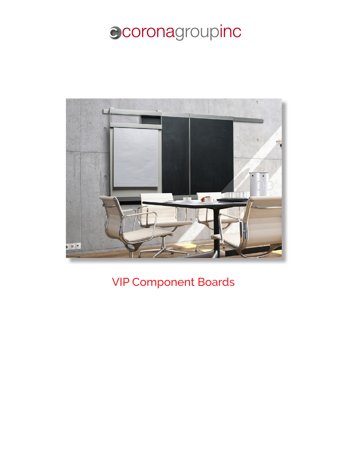# ccoronagroupinc



VIP Component Boards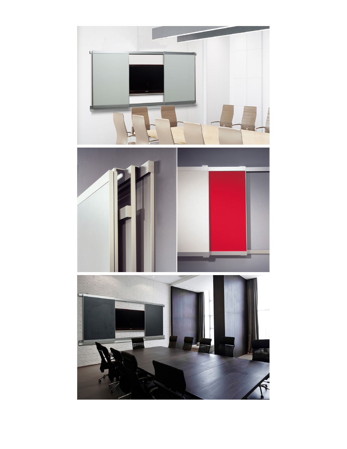